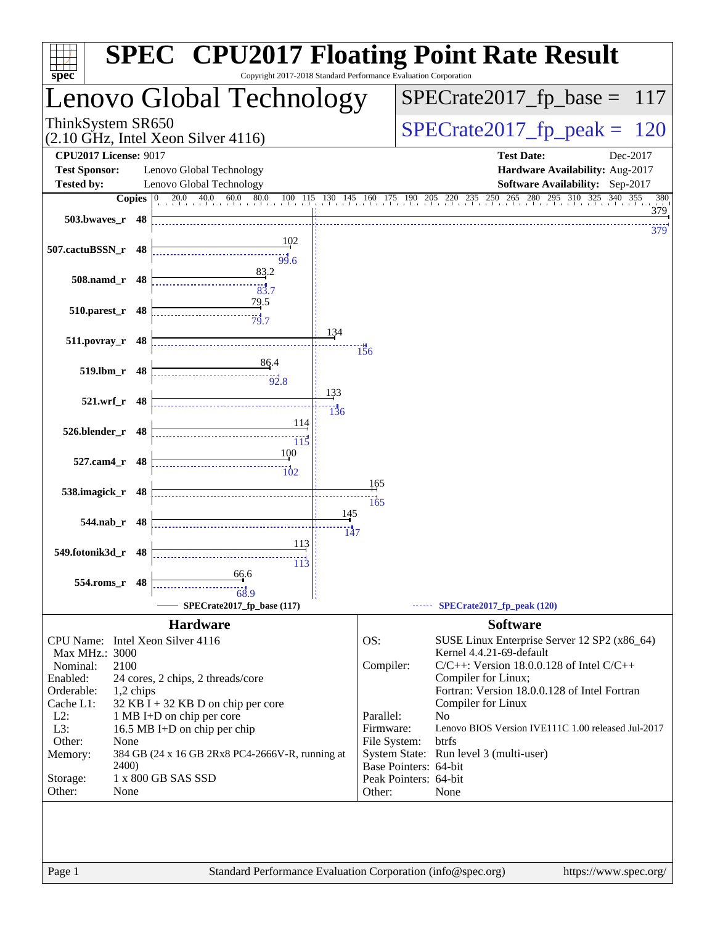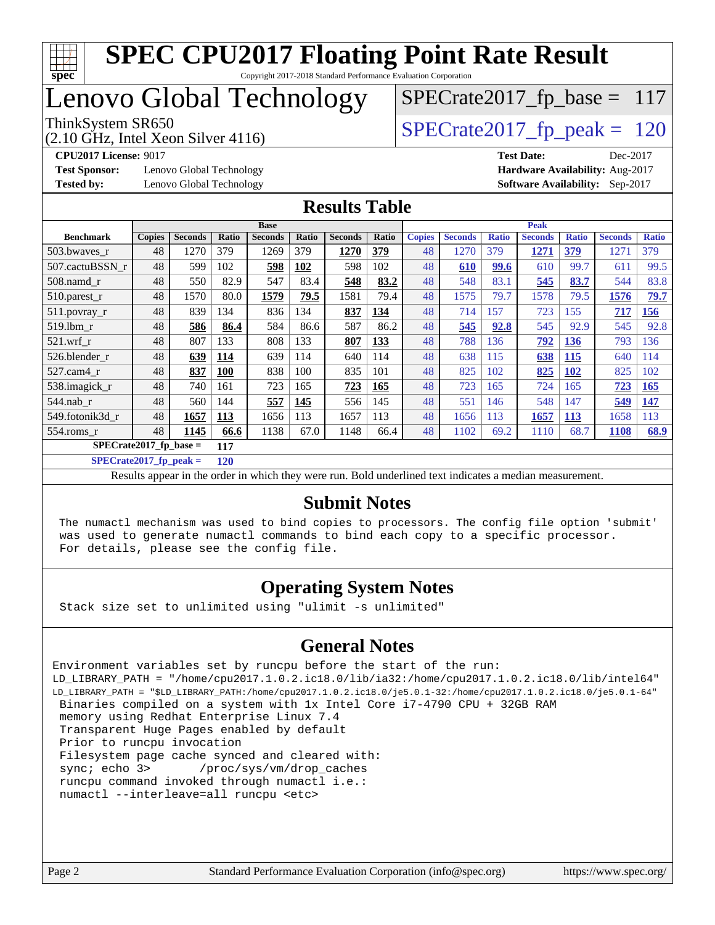

Copyright 2017-2018 Standard Performance Evaluation Corporation

## Lenovo Global Technology

(2.10 GHz, Intel Xeon Silver 4116)

ThinkSystem SR650<br>(2.10 GHz, Intel Xeon Silver 4116) [SPECrate2017\\_fp\\_peak =](http://www.spec.org/auto/cpu2017/Docs/result-fields.html#SPECrate2017fppeak)  $120$ 

 $SPECrate2017_fp\_base = 117$ 

**[Test Sponsor:](http://www.spec.org/auto/cpu2017/Docs/result-fields.html#TestSponsor)** Lenovo Global Technology **[Hardware Availability:](http://www.spec.org/auto/cpu2017/Docs/result-fields.html#HardwareAvailability)** Aug-2017

**[CPU2017 License:](http://www.spec.org/auto/cpu2017/Docs/result-fields.html#CPU2017License)** 9017 **[Test Date:](http://www.spec.org/auto/cpu2017/Docs/result-fields.html#TestDate)** Dec-2017 **[Tested by:](http://www.spec.org/auto/cpu2017/Docs/result-fields.html#Testedby)** Lenovo Global Technology **[Software Availability:](http://www.spec.org/auto/cpu2017/Docs/result-fields.html#SoftwareAvailability)** Sep-2017

#### **[Results Table](http://www.spec.org/auto/cpu2017/Docs/result-fields.html#ResultsTable)**

|                                 | <b>Base</b>   |                |            |                |            | <b>Peak</b>    |       |               |                |              |                |              |                |              |
|---------------------------------|---------------|----------------|------------|----------------|------------|----------------|-------|---------------|----------------|--------------|----------------|--------------|----------------|--------------|
| <b>Benchmark</b>                | <b>Copies</b> | <b>Seconds</b> | Ratio      | <b>Seconds</b> | Ratio      | <b>Seconds</b> | Ratio | <b>Copies</b> | <b>Seconds</b> | <b>Ratio</b> | <b>Seconds</b> | <b>Ratio</b> | <b>Seconds</b> | <b>Ratio</b> |
| 503.bwayes_r                    | 48            | 1270           | 379        | 1269           | 379        | 1270           | 379   | 48            | 1270           | 379          | 1271           | 379          | 1271           | 379          |
| 507.cactuBSSN r                 | 48            | 599            | 102        | 598            | <b>102</b> | 598            | 102   | 48            | 610            | 99.6         | 610            | 99.7         | 611            | 99.5         |
| $508$ .namd $r$                 | 48            | 550            | 82.9       | 547            | 83.4       | 548            | 83.2  | 48            | 548            | 83.1         | 545            | 83.7         | 544            | 83.8         |
| 510.parest_r                    | 48            | 1570           | 80.0       | 1579           | 79.5       | 1581           | 79.4  | 48            | 1575           | 79.7         | 1578           | 79.5         | 1576           | 79.7         |
| 511.povray_r                    | 48            | 839            | 134        | 836            | 134        | 837            | 134   | 48            | 714            | 157          | 723            | 155          | 717            | <b>156</b>   |
| 519.1bm r                       | 48            | 586            | 86.4       | 584            | 86.6       | 587            | 86.2  | 48            | 545            | 92.8         | 545            | 92.9         | 545            | 92.8         |
| $521$ .wrf r                    | 48            | 807            | 133        | 808            | 133        | 807            | 133   | 48            | 788            | 136          | 792            | 136          | 793            | 136          |
| 526.blender r                   | 48            | 639            | 114        | 639            | 114        | 640            | 114   | 48            | 638            | 115          | 638            | 115          | 640            | 114          |
| $527.cam4$ _r                   | 48            | 837            | <b>100</b> | 838            | 100        | 835            | 101   | 48            | 825            | 102          | 825            | <u>102</u>   | 825            | 102          |
| 538.imagick_r                   | 48            | 740            | 161        | 723            | 165        | 723            | 165   | 48            | 723            | 165          | 724            | 165          | 723            | <b>165</b>   |
| 544.nab r                       | 48            | 560            | 144        | 557            | 145        | 556            | 145   | 48            | 551            | 146          | 548            | 147          | 549            | 147          |
| 549.fotonik3d r                 | 48            | 1657           | 113        | 1656           | 113        | 1657           | 113   | 48            | 1656           | 113          | 1657           | 113          | 1658           | 113          |
| 554.roms r                      | 48            | 1145           | 66.6       | 1138           | 67.0       | 1148           | 66.4  | 48            | 1102           | 69.2         | 1110           | 68.7         | 1108           | 68.9         |
| $SPECrate2017$ fp base =<br>117 |               |                |            |                |            |                |       |               |                |              |                |              |                |              |

**[SPECrate2017\\_fp\\_peak =](http://www.spec.org/auto/cpu2017/Docs/result-fields.html#SPECrate2017fppeak) 120**

Results appear in the [order in which they were run.](http://www.spec.org/auto/cpu2017/Docs/result-fields.html#RunOrder) Bold underlined text [indicates a median measurement.](http://www.spec.org/auto/cpu2017/Docs/result-fields.html#Median)

#### **[Submit Notes](http://www.spec.org/auto/cpu2017/Docs/result-fields.html#SubmitNotes)**

 The numactl mechanism was used to bind copies to processors. The config file option 'submit' was used to generate numactl commands to bind each copy to a specific processor. For details, please see the config file.

#### **[Operating System Notes](http://www.spec.org/auto/cpu2017/Docs/result-fields.html#OperatingSystemNotes)**

Stack size set to unlimited using "ulimit -s unlimited"

#### **[General Notes](http://www.spec.org/auto/cpu2017/Docs/result-fields.html#GeneralNotes)**

Environment variables set by runcpu before the start of the run: LD\_LIBRARY\_PATH = "/home/cpu2017.1.0.2.ic18.0/lib/ia32:/home/cpu2017.1.0.2.ic18.0/lib/intel64" LD\_LIBRARY\_PATH = "\$LD\_LIBRARY\_PATH:/home/cpu2017.1.0.2.ic18.0/je5.0.1-32:/home/cpu2017.1.0.2.ic18.0/je5.0.1-64" Binaries compiled on a system with 1x Intel Core i7-4790 CPU + 32GB RAM memory using Redhat Enterprise Linux 7.4 Transparent Huge Pages enabled by default Prior to runcpu invocation Filesystem page cache synced and cleared with: sync; echo 3> /proc/sys/vm/drop\_caches runcpu command invoked through numactl i.e.: numactl --interleave=all runcpu <etc>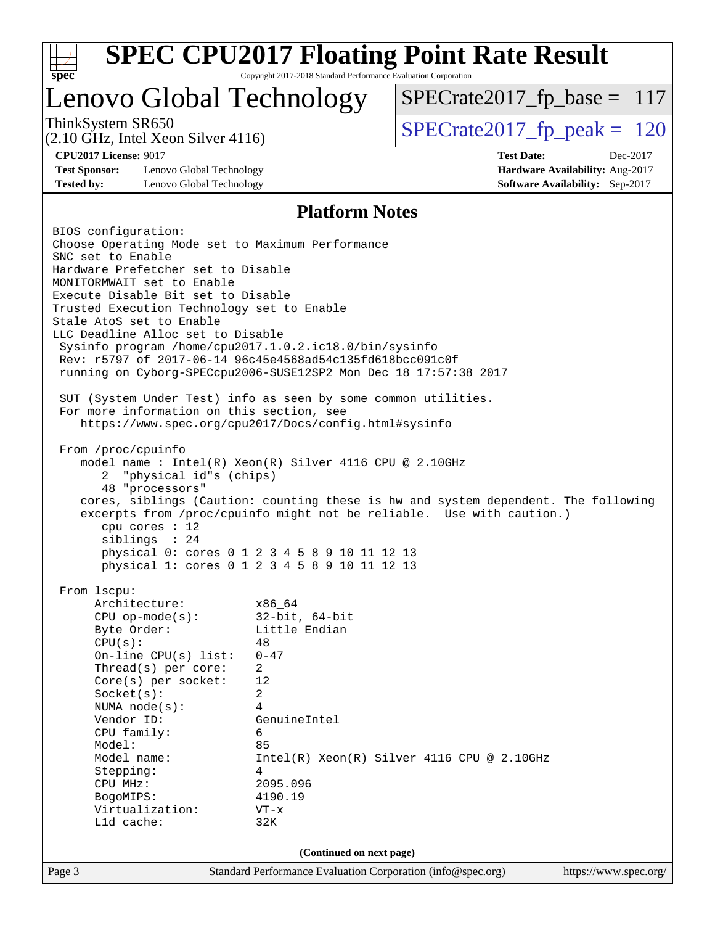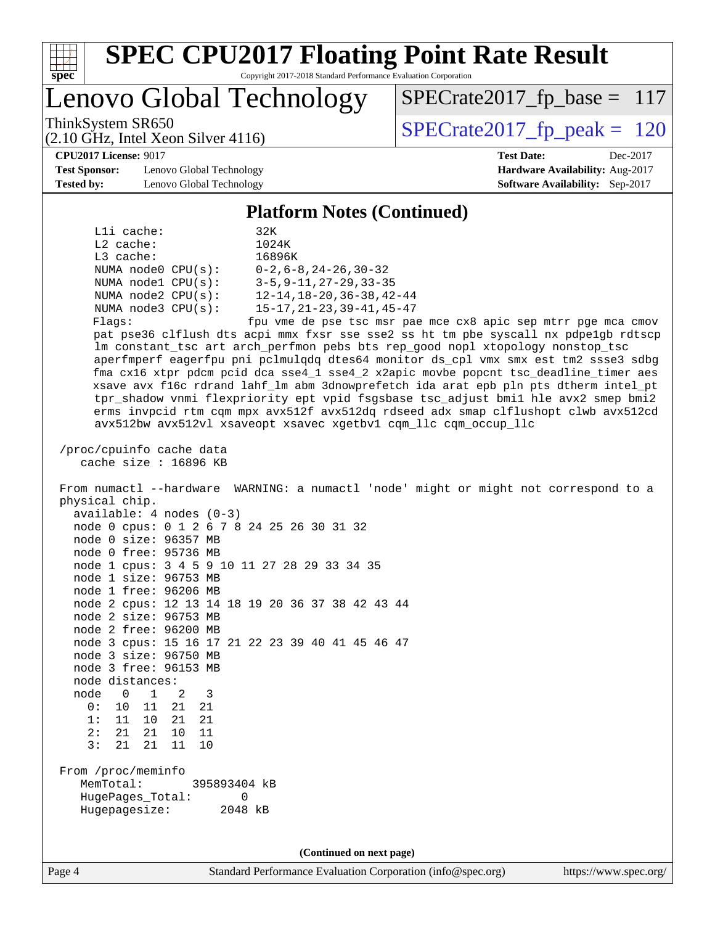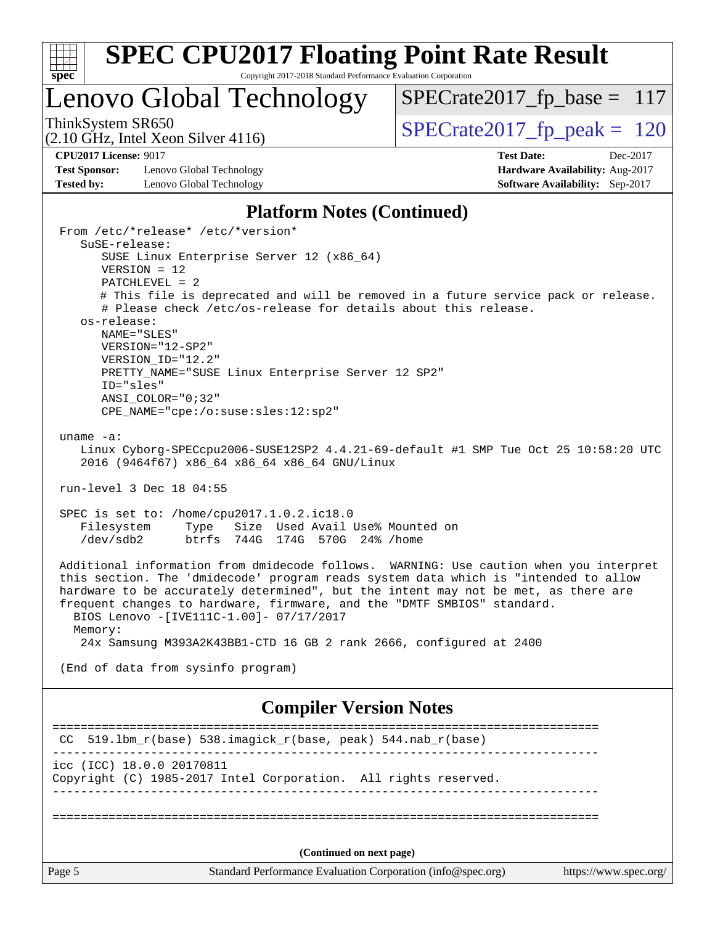

Copyright 2017-2018 Standard Performance Evaluation Corporation

## Lenovo Global Technology

ThinkSystem SR650<br>  $(2.10 \text{ GHz})$  Intel Xeon Silver 4116) [SPECrate2017\\_fp\\_peak =](http://www.spec.org/auto/cpu2017/Docs/result-fields.html#SPECrate2017fppeak) 120

[SPECrate2017\\_fp\\_base =](http://www.spec.org/auto/cpu2017/Docs/result-fields.html#SPECrate2017fpbase) 117

(2.10 GHz, Intel Xeon Silver 4116)

**[CPU2017 License:](http://www.spec.org/auto/cpu2017/Docs/result-fields.html#CPU2017License)** 9017 **[Test Date:](http://www.spec.org/auto/cpu2017/Docs/result-fields.html#TestDate)** Dec-2017 **[Test Sponsor:](http://www.spec.org/auto/cpu2017/Docs/result-fields.html#TestSponsor)** Lenovo Global Technology **[Hardware Availability:](http://www.spec.org/auto/cpu2017/Docs/result-fields.html#HardwareAvailability)** Aug-2017 **[Tested by:](http://www.spec.org/auto/cpu2017/Docs/result-fields.html#Testedby)** Lenovo Global Technology **[Software Availability:](http://www.spec.org/auto/cpu2017/Docs/result-fields.html#SoftwareAvailability)** Sep-2017

#### **[Platform Notes \(Continued\)](http://www.spec.org/auto/cpu2017/Docs/result-fields.html#PlatformNotes)**

| From /etc/*release* /etc/*version*                                                                                                                   |  |
|------------------------------------------------------------------------------------------------------------------------------------------------------|--|
| SuSE-release:                                                                                                                                        |  |
| SUSE Linux Enterprise Server 12 (x86_64)                                                                                                             |  |
| $VERSION = 12$                                                                                                                                       |  |
| PATCHLEVEL = 2                                                                                                                                       |  |
| # This file is deprecated and will be removed in a future service pack or release.<br># Please check /etc/os-release for details about this release. |  |
| os-release:                                                                                                                                          |  |
| NAME="SLES"                                                                                                                                          |  |
| VERSION="12-SP2"                                                                                                                                     |  |
| VERSION ID="12.2"                                                                                                                                    |  |
| PRETTY_NAME="SUSE Linux Enterprise Server 12 SP2"                                                                                                    |  |
| ID="sles"                                                                                                                                            |  |
| ANSI COLOR="0;32"                                                                                                                                    |  |
| CPE_NAME="cpe:/o:suse:sles:12:sp2"                                                                                                                   |  |
|                                                                                                                                                      |  |
| uname $-a$ :                                                                                                                                         |  |
| Linux Cyborg-SPECcpu2006-SUSE12SP2 4.4.21-69-default #1 SMP Tue Oct 25 10:58:20 UTC                                                                  |  |
| 2016 (9464f67) x86 64 x86 64 x86 64 GNU/Linux                                                                                                        |  |
| run-level 3 Dec 18 04:55                                                                                                                             |  |
|                                                                                                                                                      |  |
| SPEC is set to: /home/cpu2017.1.0.2.ic18.0                                                                                                           |  |
| Type Size Used Avail Use% Mounted on<br>Filesystem                                                                                                   |  |
| btrfs 744G 174G 570G 24% / home<br>$/\text{dev/sdb2}$                                                                                                |  |
|                                                                                                                                                      |  |
| Additional information from dmidecode follows. WARNING: Use caution when you interpret                                                               |  |
| this section. The 'dmidecode' program reads system data which is "intended to allow                                                                  |  |
| hardware to be accurately determined", but the intent may not be met, as there are                                                                   |  |
| frequent changes to hardware, firmware, and the "DMTF SMBIOS" standard.                                                                              |  |
| BIOS Lenovo -[IVE111C-1.00]- 07/17/2017                                                                                                              |  |
| Memory:                                                                                                                                              |  |
| 24x Samsung M393A2K43BB1-CTD 16 GB 2 rank 2666, configured at 2400                                                                                   |  |
|                                                                                                                                                      |  |
| (End of data from sysinfo program)                                                                                                                   |  |
|                                                                                                                                                      |  |
|                                                                                                                                                      |  |
| <b>Compiler Version Notes</b>                                                                                                                        |  |
|                                                                                                                                                      |  |
| 519.1bm_r(base) 538.imagick_r(base, peak) 544.nab_r(base)<br>CC.                                                                                     |  |
|                                                                                                                                                      |  |
| icc (ICC) 18.0.0 20170811                                                                                                                            |  |
| Copyright (C) 1985-2017 Intel Corporation. All rights reserved.                                                                                      |  |
|                                                                                                                                                      |  |
|                                                                                                                                                      |  |
|                                                                                                                                                      |  |
|                                                                                                                                                      |  |
| (Continued on next page)                                                                                                                             |  |
| Standard Performance Evaluation Corporation (info@spec.org)<br>Page 5<br>https://www.spec.org/                                                       |  |
|                                                                                                                                                      |  |
|                                                                                                                                                      |  |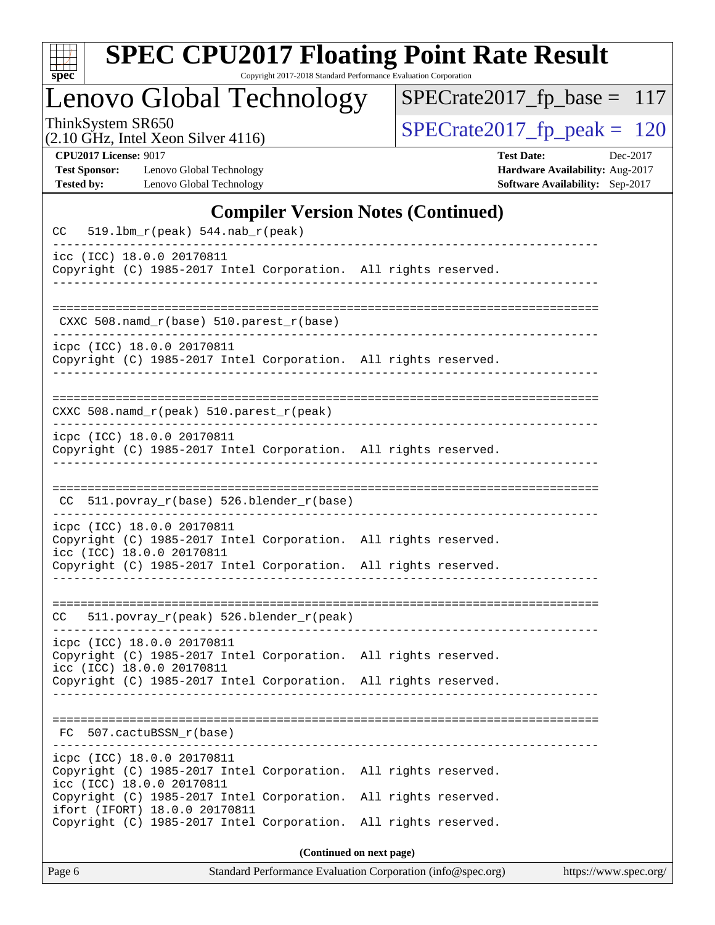| S<br>оe |  |  |  |  |  |
|---------|--|--|--|--|--|

Copyright 2017-2018 Standard Performance Evaluation Corporation

## Lenovo Global Technology

ThinkSystem SR650<br>  $(2.10 \text{ GHz})$  Intel Xeon Silver 4116)

[SPECrate2017\\_fp\\_base =](http://www.spec.org/auto/cpu2017/Docs/result-fields.html#SPECrate2017fpbase) 117

(2.10 GHz, Intel Xeon Silver 4116)

**[CPU2017 License:](http://www.spec.org/auto/cpu2017/Docs/result-fields.html#CPU2017License)** 9017 **[Test Date:](http://www.spec.org/auto/cpu2017/Docs/result-fields.html#TestDate)** Dec-2017 **[Test Sponsor:](http://www.spec.org/auto/cpu2017/Docs/result-fields.html#TestSponsor)** Lenovo Global Technology **[Hardware Availability:](http://www.spec.org/auto/cpu2017/Docs/result-fields.html#HardwareAvailability)** Aug-2017 **[Tested by:](http://www.spec.org/auto/cpu2017/Docs/result-fields.html#Testedby)** Lenovo Global Technology **[Software Availability:](http://www.spec.org/auto/cpu2017/Docs/result-fields.html#SoftwareAvailability)** Sep-2017

#### **[Compiler Version Notes \(Continued\)](http://www.spec.org/auto/cpu2017/Docs/result-fields.html#CompilerVersionNotes)**

| Copyright (C) 1985-2017 Intel Corporation. All rights reserved.<br>CXXC 508.namd_r(base) 510.parest_r(base)<br>icpc (ICC) 18.0.0 20170811<br>Copyright (C) 1985-2017 Intel Corporation. All rights reserved.<br>CXXC 508.namd_r(peak) 510.parest_r(peak)<br>icpc (ICC) 18.0.0 20170811<br>Copyright (C) 1985-2017 Intel Corporation. All rights reserved.<br>CC 511.povray_r(base) 526.blender_r(base)<br>icpc (ICC) 18.0.0 20170811<br>Copyright (C) 1985-2017 Intel Corporation. All rights reserved.<br>icc (ICC) 18.0.0 20170811<br>Copyright (C) 1985-2017 Intel Corporation. All rights reserved.<br>511.povray_r(peak) 526.blender_r(peak)<br>CC.<br>icpc (ICC) 18.0.0 20170811<br>Copyright (C) 1985-2017 Intel Corporation. All rights reserved.<br>icc (ICC) 18.0.0 20170811<br>Copyright (C) 1985-2017 Intel Corporation. All rights reserved.<br>FC 507.cactuBSSN r(base)<br>icpc (ICC) 18.0.0 20170811<br>Copyright (C) 1985-2017 Intel Corporation.<br>All rights reserved.<br>icc (ICC) 18.0.0 20170811<br>Copyright (C) 1985-2017 Intel Corporation.<br>All rights reserved.<br>ifort (IFORT) 18.0.0 20170811<br>Copyright (C) 1985-2017 Intel Corporation.<br>All rights reserved.<br>(Continued on next page) | Page 6                    | Standard Performance Evaluation Corporation (info@spec.org)<br>https://www.spec.org/ |
|---------------------------------------------------------------------------------------------------------------------------------------------------------------------------------------------------------------------------------------------------------------------------------------------------------------------------------------------------------------------------------------------------------------------------------------------------------------------------------------------------------------------------------------------------------------------------------------------------------------------------------------------------------------------------------------------------------------------------------------------------------------------------------------------------------------------------------------------------------------------------------------------------------------------------------------------------------------------------------------------------------------------------------------------------------------------------------------------------------------------------------------------------------------------------------------------------------------------------------|---------------------------|--------------------------------------------------------------------------------------|
|                                                                                                                                                                                                                                                                                                                                                                                                                                                                                                                                                                                                                                                                                                                                                                                                                                                                                                                                                                                                                                                                                                                                                                                                                                 |                           |                                                                                      |
|                                                                                                                                                                                                                                                                                                                                                                                                                                                                                                                                                                                                                                                                                                                                                                                                                                                                                                                                                                                                                                                                                                                                                                                                                                 |                           |                                                                                      |
|                                                                                                                                                                                                                                                                                                                                                                                                                                                                                                                                                                                                                                                                                                                                                                                                                                                                                                                                                                                                                                                                                                                                                                                                                                 |                           |                                                                                      |
|                                                                                                                                                                                                                                                                                                                                                                                                                                                                                                                                                                                                                                                                                                                                                                                                                                                                                                                                                                                                                                                                                                                                                                                                                                 |                           |                                                                                      |
|                                                                                                                                                                                                                                                                                                                                                                                                                                                                                                                                                                                                                                                                                                                                                                                                                                                                                                                                                                                                                                                                                                                                                                                                                                 |                           |                                                                                      |
|                                                                                                                                                                                                                                                                                                                                                                                                                                                                                                                                                                                                                                                                                                                                                                                                                                                                                                                                                                                                                                                                                                                                                                                                                                 |                           |                                                                                      |
|                                                                                                                                                                                                                                                                                                                                                                                                                                                                                                                                                                                                                                                                                                                                                                                                                                                                                                                                                                                                                                                                                                                                                                                                                                 |                           |                                                                                      |
|                                                                                                                                                                                                                                                                                                                                                                                                                                                                                                                                                                                                                                                                                                                                                                                                                                                                                                                                                                                                                                                                                                                                                                                                                                 |                           |                                                                                      |
|                                                                                                                                                                                                                                                                                                                                                                                                                                                                                                                                                                                                                                                                                                                                                                                                                                                                                                                                                                                                                                                                                                                                                                                                                                 |                           |                                                                                      |
|                                                                                                                                                                                                                                                                                                                                                                                                                                                                                                                                                                                                                                                                                                                                                                                                                                                                                                                                                                                                                                                                                                                                                                                                                                 |                           |                                                                                      |
|                                                                                                                                                                                                                                                                                                                                                                                                                                                                                                                                                                                                                                                                                                                                                                                                                                                                                                                                                                                                                                                                                                                                                                                                                                 |                           |                                                                                      |
|                                                                                                                                                                                                                                                                                                                                                                                                                                                                                                                                                                                                                                                                                                                                                                                                                                                                                                                                                                                                                                                                                                                                                                                                                                 |                           |                                                                                      |
|                                                                                                                                                                                                                                                                                                                                                                                                                                                                                                                                                                                                                                                                                                                                                                                                                                                                                                                                                                                                                                                                                                                                                                                                                                 |                           |                                                                                      |
|                                                                                                                                                                                                                                                                                                                                                                                                                                                                                                                                                                                                                                                                                                                                                                                                                                                                                                                                                                                                                                                                                                                                                                                                                                 |                           |                                                                                      |
|                                                                                                                                                                                                                                                                                                                                                                                                                                                                                                                                                                                                                                                                                                                                                                                                                                                                                                                                                                                                                                                                                                                                                                                                                                 |                           |                                                                                      |
|                                                                                                                                                                                                                                                                                                                                                                                                                                                                                                                                                                                                                                                                                                                                                                                                                                                                                                                                                                                                                                                                                                                                                                                                                                 |                           |                                                                                      |
|                                                                                                                                                                                                                                                                                                                                                                                                                                                                                                                                                                                                                                                                                                                                                                                                                                                                                                                                                                                                                                                                                                                                                                                                                                 |                           |                                                                                      |
|                                                                                                                                                                                                                                                                                                                                                                                                                                                                                                                                                                                                                                                                                                                                                                                                                                                                                                                                                                                                                                                                                                                                                                                                                                 |                           |                                                                                      |
|                                                                                                                                                                                                                                                                                                                                                                                                                                                                                                                                                                                                                                                                                                                                                                                                                                                                                                                                                                                                                                                                                                                                                                                                                                 |                           |                                                                                      |
|                                                                                                                                                                                                                                                                                                                                                                                                                                                                                                                                                                                                                                                                                                                                                                                                                                                                                                                                                                                                                                                                                                                                                                                                                                 | icc (ICC) 18.0.0 20170811 |                                                                                      |
| 519.1bm_r(peak) 544.nab_r(peak)<br>CC                                                                                                                                                                                                                                                                                                                                                                                                                                                                                                                                                                                                                                                                                                                                                                                                                                                                                                                                                                                                                                                                                                                                                                                           |                           |                                                                                      |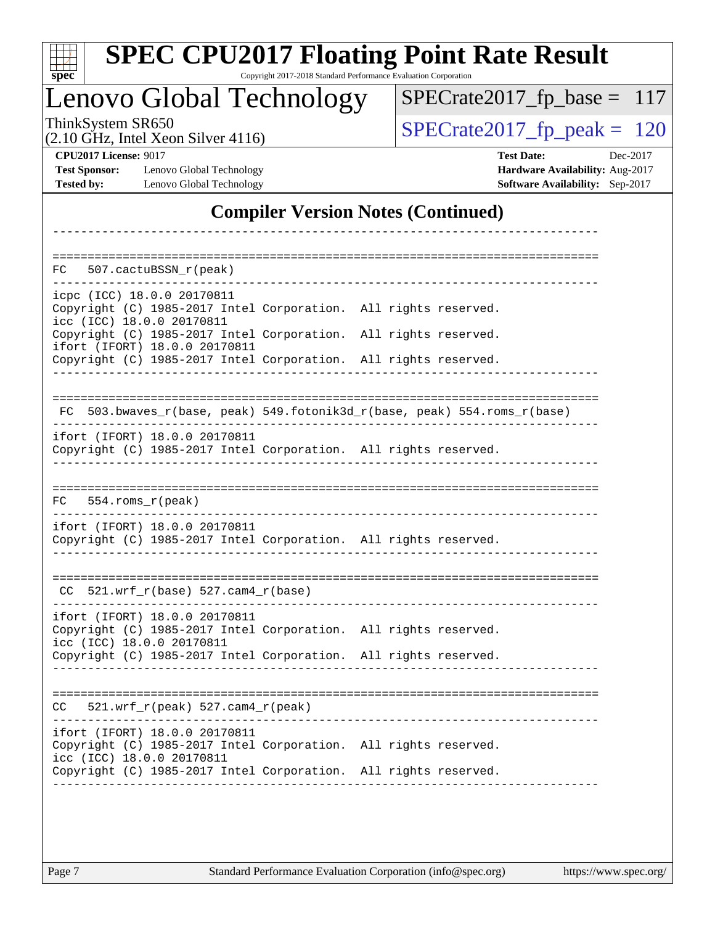| S<br>оe |  |  |  |  |  |
|---------|--|--|--|--|--|

Copyright 2017-2018 Standard Performance Evaluation Corporation

### Lenovo Global Technology

ThinkSystem SR650<br>  $(2.10 \text{ GHz})$  Intel Yean Silver 4116)

[SPECrate2017\\_fp\\_base =](http://www.spec.org/auto/cpu2017/Docs/result-fields.html#SPECrate2017fpbase) 117

(2.10 GHz, Intel Xeon Silver 4116)

**[CPU2017 License:](http://www.spec.org/auto/cpu2017/Docs/result-fields.html#CPU2017License)** 9017 **[Test Date:](http://www.spec.org/auto/cpu2017/Docs/result-fields.html#TestDate)** Dec-2017 **[Test Sponsor:](http://www.spec.org/auto/cpu2017/Docs/result-fields.html#TestSponsor)** Lenovo Global Technology **[Hardware Availability:](http://www.spec.org/auto/cpu2017/Docs/result-fields.html#HardwareAvailability)** Aug-2017 **[Tested by:](http://www.spec.org/auto/cpu2017/Docs/result-fields.html#Testedby)** Lenovo Global Technology **[Software Availability:](http://www.spec.org/auto/cpu2017/Docs/result-fields.html#SoftwareAvailability)** Sep-2017

#### **[Compiler Version Notes \(Continued\)](http://www.spec.org/auto/cpu2017/Docs/result-fields.html#CompilerVersionNotes)**

| 507.cactuBSSN_r(peak)<br>FC.                                                                                                  |                                                                          |
|-------------------------------------------------------------------------------------------------------------------------------|--------------------------------------------------------------------------|
| icpc (ICC) 18.0.0 20170811<br>Copyright (C) 1985-2017 Intel Corporation. All rights reserved.<br>icc (ICC) 18.0.0 20170811    |                                                                          |
| Copyright (C) 1985-2017 Intel Corporation. All rights reserved.<br>ifort (IFORT) 18.0.0 20170811                              |                                                                          |
| Copyright (C) 1985-2017 Intel Corporation. All rights reserved.                                                               |                                                                          |
|                                                                                                                               | FC 503.bwaves_r(base, peak) 549.fotonik3d_r(base, peak) 554.roms_r(base) |
| ifort (IFORT) 18.0.0 20170811<br>Copyright (C) 1985-2017 Intel Corporation. All rights reserved.                              |                                                                          |
| FC<br>$554.rows_r(peak)$                                                                                                      |                                                                          |
| ifort (IFORT) 18.0.0 20170811<br>Copyright (C) 1985-2017 Intel Corporation. All rights reserved.                              |                                                                          |
| 521.wrf_r(base) 527.cam4_r(base)<br>CC.                                                                                       |                                                                          |
| ifort (IFORT) 18.0.0 20170811<br>Copyright (C) 1985-2017 Intel Corporation. All rights reserved.<br>icc (ICC) 18.0.0 20170811 |                                                                          |
| Copyright (C) 1985-2017 Intel Corporation. All rights reserved.                                                               |                                                                          |
| $521.wrf_r(peak) 527.cam4_r(peak)$<br>CC.                                                                                     |                                                                          |
| ifort (IFORT) 18.0.0 20170811<br>Copyright (C) 1985-2017 Intel Corporation. All rights reserved.<br>icc (ICC) 18.0.0 20170811 |                                                                          |
| Copyright (C) 1985-2017 Intel Corporation. All rights reserved.                                                               |                                                                          |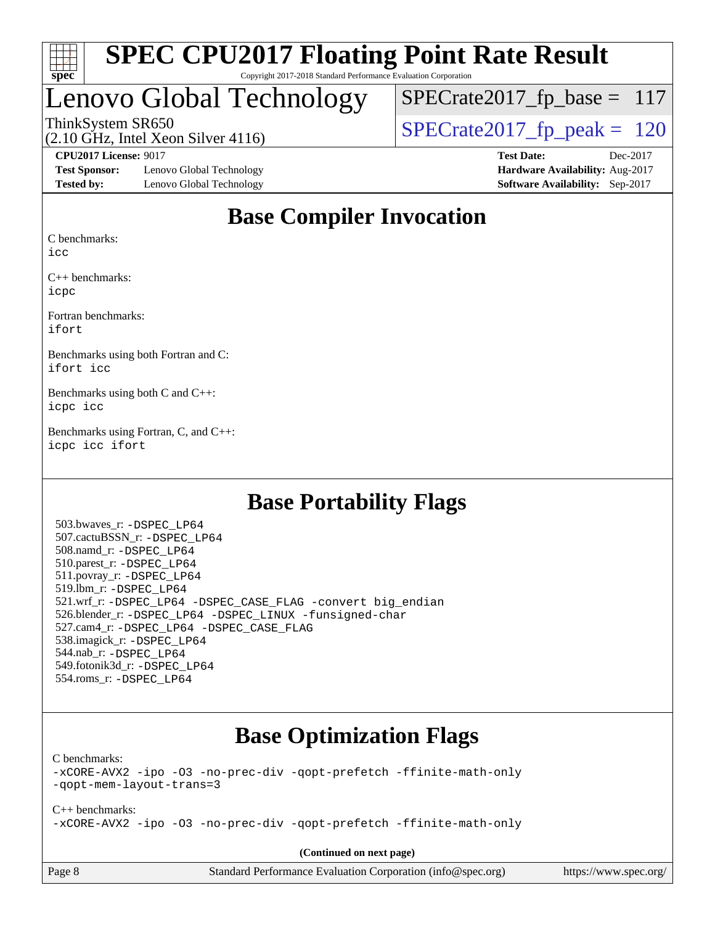

#### **[SPEC CPU2017 Floating Point Rate Result](http://www.spec.org/auto/cpu2017/Docs/result-fields.html#SPECCPU2017FloatingPointRateResult)** Copyright 2017-2018 Standard Performance Evaluation Corporation

## Lenovo Global Technology

 $SPECrate2017_fp\_base = 117$ 

(2.10 GHz, Intel Xeon Silver 4116) ThinkSystem SR650<br>(2.10 GHz, Intel Xeon Silver 4116)  $\begin{array}{|l|l|}\n\hline\n\end{array}$  [SPECrate2017\\_fp\\_peak =](http://www.spec.org/auto/cpu2017/Docs/result-fields.html#SPECrate2017fppeak) 120

**[Test Sponsor:](http://www.spec.org/auto/cpu2017/Docs/result-fields.html#TestSponsor)** Lenovo Global Technology **[Hardware Availability:](http://www.spec.org/auto/cpu2017/Docs/result-fields.html#HardwareAvailability)** Aug-2017 **[Tested by:](http://www.spec.org/auto/cpu2017/Docs/result-fields.html#Testedby)** Lenovo Global Technology **[Software Availability:](http://www.spec.org/auto/cpu2017/Docs/result-fields.html#SoftwareAvailability)** Sep-2017

**[CPU2017 License:](http://www.spec.org/auto/cpu2017/Docs/result-fields.html#CPU2017License)** 9017 **[Test Date:](http://www.spec.org/auto/cpu2017/Docs/result-fields.html#TestDate)** Dec-2017

#### **[Base Compiler Invocation](http://www.spec.org/auto/cpu2017/Docs/result-fields.html#BaseCompilerInvocation)**

[C benchmarks](http://www.spec.org/auto/cpu2017/Docs/result-fields.html#Cbenchmarks):

[icc](http://www.spec.org/cpu2017/results/res2018q1/cpu2017-20171225-02097.flags.html#user_CCbase_intel_icc_18.0_66fc1ee009f7361af1fbd72ca7dcefbb700085f36577c54f309893dd4ec40d12360134090235512931783d35fd58c0460139e722d5067c5574d8eaf2b3e37e92)

[C++ benchmarks:](http://www.spec.org/auto/cpu2017/Docs/result-fields.html#CXXbenchmarks) [icpc](http://www.spec.org/cpu2017/results/res2018q1/cpu2017-20171225-02097.flags.html#user_CXXbase_intel_icpc_18.0_c510b6838c7f56d33e37e94d029a35b4a7bccf4766a728ee175e80a419847e808290a9b78be685c44ab727ea267ec2f070ec5dc83b407c0218cded6866a35d07)

[Fortran benchmarks](http://www.spec.org/auto/cpu2017/Docs/result-fields.html#Fortranbenchmarks): [ifort](http://www.spec.org/cpu2017/results/res2018q1/cpu2017-20171225-02097.flags.html#user_FCbase_intel_ifort_18.0_8111460550e3ca792625aed983ce982f94888b8b503583aa7ba2b8303487b4d8a21a13e7191a45c5fd58ff318f48f9492884d4413fa793fd88dd292cad7027ca)

[Benchmarks using both Fortran and C](http://www.spec.org/auto/cpu2017/Docs/result-fields.html#BenchmarksusingbothFortranandC): [ifort](http://www.spec.org/cpu2017/results/res2018q1/cpu2017-20171225-02097.flags.html#user_CC_FCbase_intel_ifort_18.0_8111460550e3ca792625aed983ce982f94888b8b503583aa7ba2b8303487b4d8a21a13e7191a45c5fd58ff318f48f9492884d4413fa793fd88dd292cad7027ca) [icc](http://www.spec.org/cpu2017/results/res2018q1/cpu2017-20171225-02097.flags.html#user_CC_FCbase_intel_icc_18.0_66fc1ee009f7361af1fbd72ca7dcefbb700085f36577c54f309893dd4ec40d12360134090235512931783d35fd58c0460139e722d5067c5574d8eaf2b3e37e92)

[Benchmarks using both C and C++:](http://www.spec.org/auto/cpu2017/Docs/result-fields.html#BenchmarksusingbothCandCXX) [icpc](http://www.spec.org/cpu2017/results/res2018q1/cpu2017-20171225-02097.flags.html#user_CC_CXXbase_intel_icpc_18.0_c510b6838c7f56d33e37e94d029a35b4a7bccf4766a728ee175e80a419847e808290a9b78be685c44ab727ea267ec2f070ec5dc83b407c0218cded6866a35d07) [icc](http://www.spec.org/cpu2017/results/res2018q1/cpu2017-20171225-02097.flags.html#user_CC_CXXbase_intel_icc_18.0_66fc1ee009f7361af1fbd72ca7dcefbb700085f36577c54f309893dd4ec40d12360134090235512931783d35fd58c0460139e722d5067c5574d8eaf2b3e37e92)

[Benchmarks using Fortran, C, and C++:](http://www.spec.org/auto/cpu2017/Docs/result-fields.html#BenchmarksusingFortranCandCXX) [icpc](http://www.spec.org/cpu2017/results/res2018q1/cpu2017-20171225-02097.flags.html#user_CC_CXX_FCbase_intel_icpc_18.0_c510b6838c7f56d33e37e94d029a35b4a7bccf4766a728ee175e80a419847e808290a9b78be685c44ab727ea267ec2f070ec5dc83b407c0218cded6866a35d07) [icc](http://www.spec.org/cpu2017/results/res2018q1/cpu2017-20171225-02097.flags.html#user_CC_CXX_FCbase_intel_icc_18.0_66fc1ee009f7361af1fbd72ca7dcefbb700085f36577c54f309893dd4ec40d12360134090235512931783d35fd58c0460139e722d5067c5574d8eaf2b3e37e92) [ifort](http://www.spec.org/cpu2017/results/res2018q1/cpu2017-20171225-02097.flags.html#user_CC_CXX_FCbase_intel_ifort_18.0_8111460550e3ca792625aed983ce982f94888b8b503583aa7ba2b8303487b4d8a21a13e7191a45c5fd58ff318f48f9492884d4413fa793fd88dd292cad7027ca)

#### **[Base Portability Flags](http://www.spec.org/auto/cpu2017/Docs/result-fields.html#BasePortabilityFlags)**

 503.bwaves\_r: [-DSPEC\\_LP64](http://www.spec.org/cpu2017/results/res2018q1/cpu2017-20171225-02097.flags.html#suite_basePORTABILITY503_bwaves_r_DSPEC_LP64) 507.cactuBSSN\_r: [-DSPEC\\_LP64](http://www.spec.org/cpu2017/results/res2018q1/cpu2017-20171225-02097.flags.html#suite_basePORTABILITY507_cactuBSSN_r_DSPEC_LP64) 508.namd\_r: [-DSPEC\\_LP64](http://www.spec.org/cpu2017/results/res2018q1/cpu2017-20171225-02097.flags.html#suite_basePORTABILITY508_namd_r_DSPEC_LP64) 510.parest\_r: [-DSPEC\\_LP64](http://www.spec.org/cpu2017/results/res2018q1/cpu2017-20171225-02097.flags.html#suite_basePORTABILITY510_parest_r_DSPEC_LP64) 511.povray\_r: [-DSPEC\\_LP64](http://www.spec.org/cpu2017/results/res2018q1/cpu2017-20171225-02097.flags.html#suite_basePORTABILITY511_povray_r_DSPEC_LP64) 519.lbm\_r: [-DSPEC\\_LP64](http://www.spec.org/cpu2017/results/res2018q1/cpu2017-20171225-02097.flags.html#suite_basePORTABILITY519_lbm_r_DSPEC_LP64) 521.wrf\_r: [-DSPEC\\_LP64](http://www.spec.org/cpu2017/results/res2018q1/cpu2017-20171225-02097.flags.html#suite_basePORTABILITY521_wrf_r_DSPEC_LP64) [-DSPEC\\_CASE\\_FLAG](http://www.spec.org/cpu2017/results/res2018q1/cpu2017-20171225-02097.flags.html#b521.wrf_r_baseCPORTABILITY_DSPEC_CASE_FLAG) [-convert big\\_endian](http://www.spec.org/cpu2017/results/res2018q1/cpu2017-20171225-02097.flags.html#user_baseFPORTABILITY521_wrf_r_convert_big_endian_c3194028bc08c63ac5d04de18c48ce6d347e4e562e8892b8bdbdc0214820426deb8554edfa529a3fb25a586e65a3d812c835984020483e7e73212c4d31a38223) 526.blender\_r: [-DSPEC\\_LP64](http://www.spec.org/cpu2017/results/res2018q1/cpu2017-20171225-02097.flags.html#suite_basePORTABILITY526_blender_r_DSPEC_LP64) [-DSPEC\\_LINUX](http://www.spec.org/cpu2017/results/res2018q1/cpu2017-20171225-02097.flags.html#b526.blender_r_baseCPORTABILITY_DSPEC_LINUX) [-funsigned-char](http://www.spec.org/cpu2017/results/res2018q1/cpu2017-20171225-02097.flags.html#user_baseCPORTABILITY526_blender_r_force_uchar_40c60f00ab013830e2dd6774aeded3ff59883ba5a1fc5fc14077f794d777847726e2a5858cbc7672e36e1b067e7e5c1d9a74f7176df07886a243d7cc18edfe67) 527.cam4\_r: [-DSPEC\\_LP64](http://www.spec.org/cpu2017/results/res2018q1/cpu2017-20171225-02097.flags.html#suite_basePORTABILITY527_cam4_r_DSPEC_LP64) [-DSPEC\\_CASE\\_FLAG](http://www.spec.org/cpu2017/results/res2018q1/cpu2017-20171225-02097.flags.html#b527.cam4_r_baseCPORTABILITY_DSPEC_CASE_FLAG) 538.imagick\_r: [-DSPEC\\_LP64](http://www.spec.org/cpu2017/results/res2018q1/cpu2017-20171225-02097.flags.html#suite_basePORTABILITY538_imagick_r_DSPEC_LP64) 544.nab\_r: [-DSPEC\\_LP64](http://www.spec.org/cpu2017/results/res2018q1/cpu2017-20171225-02097.flags.html#suite_basePORTABILITY544_nab_r_DSPEC_LP64) 549.fotonik3d\_r: [-DSPEC\\_LP64](http://www.spec.org/cpu2017/results/res2018q1/cpu2017-20171225-02097.flags.html#suite_basePORTABILITY549_fotonik3d_r_DSPEC_LP64) 554.roms\_r: [-DSPEC\\_LP64](http://www.spec.org/cpu2017/results/res2018q1/cpu2017-20171225-02097.flags.html#suite_basePORTABILITY554_roms_r_DSPEC_LP64)

### **[Base Optimization Flags](http://www.spec.org/auto/cpu2017/Docs/result-fields.html#BaseOptimizationFlags)**

[C benchmarks](http://www.spec.org/auto/cpu2017/Docs/result-fields.html#Cbenchmarks):

[-xCORE-AVX2](http://www.spec.org/cpu2017/results/res2018q1/cpu2017-20171225-02097.flags.html#user_CCbase_f-xCORE-AVX2) [-ipo](http://www.spec.org/cpu2017/results/res2018q1/cpu2017-20171225-02097.flags.html#user_CCbase_f-ipo) [-O3](http://www.spec.org/cpu2017/results/res2018q1/cpu2017-20171225-02097.flags.html#user_CCbase_f-O3) [-no-prec-div](http://www.spec.org/cpu2017/results/res2018q1/cpu2017-20171225-02097.flags.html#user_CCbase_f-no-prec-div) [-qopt-prefetch](http://www.spec.org/cpu2017/results/res2018q1/cpu2017-20171225-02097.flags.html#user_CCbase_f-qopt-prefetch) [-ffinite-math-only](http://www.spec.org/cpu2017/results/res2018q1/cpu2017-20171225-02097.flags.html#user_CCbase_f_finite_math_only_cb91587bd2077682c4b38af759c288ed7c732db004271a9512da14a4f8007909a5f1427ecbf1a0fb78ff2a814402c6114ac565ca162485bbcae155b5e4258871) [-qopt-mem-layout-trans=3](http://www.spec.org/cpu2017/results/res2018q1/cpu2017-20171225-02097.flags.html#user_CCbase_f-qopt-mem-layout-trans_de80db37974c74b1f0e20d883f0b675c88c3b01e9d123adea9b28688d64333345fb62bc4a798493513fdb68f60282f9a726aa07f478b2f7113531aecce732043)

[C++ benchmarks:](http://www.spec.org/auto/cpu2017/Docs/result-fields.html#CXXbenchmarks) [-xCORE-AVX2](http://www.spec.org/cpu2017/results/res2018q1/cpu2017-20171225-02097.flags.html#user_CXXbase_f-xCORE-AVX2) [-ipo](http://www.spec.org/cpu2017/results/res2018q1/cpu2017-20171225-02097.flags.html#user_CXXbase_f-ipo) [-O3](http://www.spec.org/cpu2017/results/res2018q1/cpu2017-20171225-02097.flags.html#user_CXXbase_f-O3) [-no-prec-div](http://www.spec.org/cpu2017/results/res2018q1/cpu2017-20171225-02097.flags.html#user_CXXbase_f-no-prec-div) [-qopt-prefetch](http://www.spec.org/cpu2017/results/res2018q1/cpu2017-20171225-02097.flags.html#user_CXXbase_f-qopt-prefetch) [-ffinite-math-only](http://www.spec.org/cpu2017/results/res2018q1/cpu2017-20171225-02097.flags.html#user_CXXbase_f_finite_math_only_cb91587bd2077682c4b38af759c288ed7c732db004271a9512da14a4f8007909a5f1427ecbf1a0fb78ff2a814402c6114ac565ca162485bbcae155b5e4258871)

**(Continued on next page)**

| Page 8 |  |
|--------|--|
|--------|--|

Page 8 Standard Performance Evaluation Corporation [\(info@spec.org\)](mailto:info@spec.org) <https://www.spec.org/>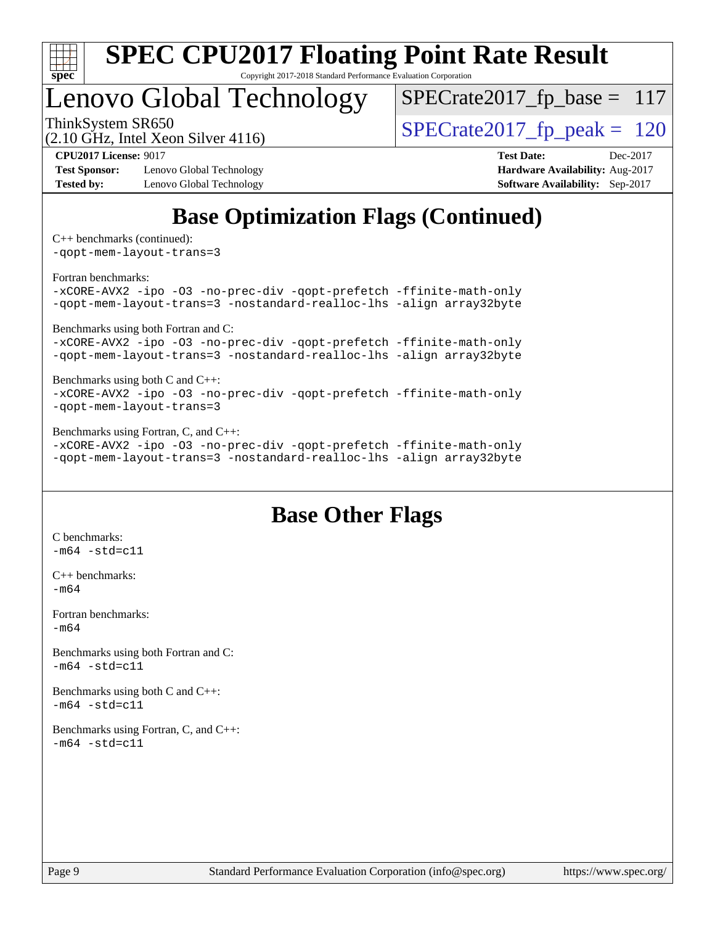

Copyright 2017-2018 Standard Performance Evaluation Corporation

## Lenovo Global Technology

 $SPECrate2017_fp\_base = 117$ 

(2.10 GHz, Intel Xeon Silver 4116)

ThinkSystem SR650<br>(2.10 GHz, Intel Xeon Silver 4116)  $\begin{array}{|l|l|}\n\hline\n\end{array}$  [SPECrate2017\\_fp\\_peak =](http://www.spec.org/auto/cpu2017/Docs/result-fields.html#SPECrate2017fppeak) 120

**[Test Sponsor:](http://www.spec.org/auto/cpu2017/Docs/result-fields.html#TestSponsor)** Lenovo Global Technology **[Hardware Availability:](http://www.spec.org/auto/cpu2017/Docs/result-fields.html#HardwareAvailability)** Aug-2017 **[Tested by:](http://www.spec.org/auto/cpu2017/Docs/result-fields.html#Testedby)** Lenovo Global Technology **[Software Availability:](http://www.spec.org/auto/cpu2017/Docs/result-fields.html#SoftwareAvailability)** Sep-2017

**[CPU2017 License:](http://www.spec.org/auto/cpu2017/Docs/result-fields.html#CPU2017License)** 9017 **[Test Date:](http://www.spec.org/auto/cpu2017/Docs/result-fields.html#TestDate)** Dec-2017

## **[Base Optimization Flags \(Continued\)](http://www.spec.org/auto/cpu2017/Docs/result-fields.html#BaseOptimizationFlags)**

[C++ benchmarks](http://www.spec.org/auto/cpu2017/Docs/result-fields.html#CXXbenchmarks) (continued):

[-qopt-mem-layout-trans=3](http://www.spec.org/cpu2017/results/res2018q1/cpu2017-20171225-02097.flags.html#user_CXXbase_f-qopt-mem-layout-trans_de80db37974c74b1f0e20d883f0b675c88c3b01e9d123adea9b28688d64333345fb62bc4a798493513fdb68f60282f9a726aa07f478b2f7113531aecce732043)

[Fortran benchmarks](http://www.spec.org/auto/cpu2017/Docs/result-fields.html#Fortranbenchmarks):

[-xCORE-AVX2](http://www.spec.org/cpu2017/results/res2018q1/cpu2017-20171225-02097.flags.html#user_FCbase_f-xCORE-AVX2) [-ipo](http://www.spec.org/cpu2017/results/res2018q1/cpu2017-20171225-02097.flags.html#user_FCbase_f-ipo) [-O3](http://www.spec.org/cpu2017/results/res2018q1/cpu2017-20171225-02097.flags.html#user_FCbase_f-O3) [-no-prec-div](http://www.spec.org/cpu2017/results/res2018q1/cpu2017-20171225-02097.flags.html#user_FCbase_f-no-prec-div) [-qopt-prefetch](http://www.spec.org/cpu2017/results/res2018q1/cpu2017-20171225-02097.flags.html#user_FCbase_f-qopt-prefetch) [-ffinite-math-only](http://www.spec.org/cpu2017/results/res2018q1/cpu2017-20171225-02097.flags.html#user_FCbase_f_finite_math_only_cb91587bd2077682c4b38af759c288ed7c732db004271a9512da14a4f8007909a5f1427ecbf1a0fb78ff2a814402c6114ac565ca162485bbcae155b5e4258871) [-qopt-mem-layout-trans=3](http://www.spec.org/cpu2017/results/res2018q1/cpu2017-20171225-02097.flags.html#user_FCbase_f-qopt-mem-layout-trans_de80db37974c74b1f0e20d883f0b675c88c3b01e9d123adea9b28688d64333345fb62bc4a798493513fdb68f60282f9a726aa07f478b2f7113531aecce732043) [-nostandard-realloc-lhs](http://www.spec.org/cpu2017/results/res2018q1/cpu2017-20171225-02097.flags.html#user_FCbase_f_2003_std_realloc_82b4557e90729c0f113870c07e44d33d6f5a304b4f63d4c15d2d0f1fab99f5daaed73bdb9275d9ae411527f28b936061aa8b9c8f2d63842963b95c9dd6426b8a) [-align array32byte](http://www.spec.org/cpu2017/results/res2018q1/cpu2017-20171225-02097.flags.html#user_FCbase_align_array32byte_b982fe038af199962ba9a80c053b8342c548c85b40b8e86eb3cc33dee0d7986a4af373ac2d51c3f7cf710a18d62fdce2948f201cd044323541f22fc0fffc51b6)

[Benchmarks using both Fortran and C](http://www.spec.org/auto/cpu2017/Docs/result-fields.html#BenchmarksusingbothFortranandC):

[-xCORE-AVX2](http://www.spec.org/cpu2017/results/res2018q1/cpu2017-20171225-02097.flags.html#user_CC_FCbase_f-xCORE-AVX2) [-ipo](http://www.spec.org/cpu2017/results/res2018q1/cpu2017-20171225-02097.flags.html#user_CC_FCbase_f-ipo) [-O3](http://www.spec.org/cpu2017/results/res2018q1/cpu2017-20171225-02097.flags.html#user_CC_FCbase_f-O3) [-no-prec-div](http://www.spec.org/cpu2017/results/res2018q1/cpu2017-20171225-02097.flags.html#user_CC_FCbase_f-no-prec-div) [-qopt-prefetch](http://www.spec.org/cpu2017/results/res2018q1/cpu2017-20171225-02097.flags.html#user_CC_FCbase_f-qopt-prefetch) [-ffinite-math-only](http://www.spec.org/cpu2017/results/res2018q1/cpu2017-20171225-02097.flags.html#user_CC_FCbase_f_finite_math_only_cb91587bd2077682c4b38af759c288ed7c732db004271a9512da14a4f8007909a5f1427ecbf1a0fb78ff2a814402c6114ac565ca162485bbcae155b5e4258871) [-qopt-mem-layout-trans=3](http://www.spec.org/cpu2017/results/res2018q1/cpu2017-20171225-02097.flags.html#user_CC_FCbase_f-qopt-mem-layout-trans_de80db37974c74b1f0e20d883f0b675c88c3b01e9d123adea9b28688d64333345fb62bc4a798493513fdb68f60282f9a726aa07f478b2f7113531aecce732043) [-nostandard-realloc-lhs](http://www.spec.org/cpu2017/results/res2018q1/cpu2017-20171225-02097.flags.html#user_CC_FCbase_f_2003_std_realloc_82b4557e90729c0f113870c07e44d33d6f5a304b4f63d4c15d2d0f1fab99f5daaed73bdb9275d9ae411527f28b936061aa8b9c8f2d63842963b95c9dd6426b8a) [-align array32byte](http://www.spec.org/cpu2017/results/res2018q1/cpu2017-20171225-02097.flags.html#user_CC_FCbase_align_array32byte_b982fe038af199962ba9a80c053b8342c548c85b40b8e86eb3cc33dee0d7986a4af373ac2d51c3f7cf710a18d62fdce2948f201cd044323541f22fc0fffc51b6)

[Benchmarks using both C and C++](http://www.spec.org/auto/cpu2017/Docs/result-fields.html#BenchmarksusingbothCandCXX):

[-xCORE-AVX2](http://www.spec.org/cpu2017/results/res2018q1/cpu2017-20171225-02097.flags.html#user_CC_CXXbase_f-xCORE-AVX2) [-ipo](http://www.spec.org/cpu2017/results/res2018q1/cpu2017-20171225-02097.flags.html#user_CC_CXXbase_f-ipo) [-O3](http://www.spec.org/cpu2017/results/res2018q1/cpu2017-20171225-02097.flags.html#user_CC_CXXbase_f-O3) [-no-prec-div](http://www.spec.org/cpu2017/results/res2018q1/cpu2017-20171225-02097.flags.html#user_CC_CXXbase_f-no-prec-div) [-qopt-prefetch](http://www.spec.org/cpu2017/results/res2018q1/cpu2017-20171225-02097.flags.html#user_CC_CXXbase_f-qopt-prefetch) [-ffinite-math-only](http://www.spec.org/cpu2017/results/res2018q1/cpu2017-20171225-02097.flags.html#user_CC_CXXbase_f_finite_math_only_cb91587bd2077682c4b38af759c288ed7c732db004271a9512da14a4f8007909a5f1427ecbf1a0fb78ff2a814402c6114ac565ca162485bbcae155b5e4258871) [-qopt-mem-layout-trans=3](http://www.spec.org/cpu2017/results/res2018q1/cpu2017-20171225-02097.flags.html#user_CC_CXXbase_f-qopt-mem-layout-trans_de80db37974c74b1f0e20d883f0b675c88c3b01e9d123adea9b28688d64333345fb62bc4a798493513fdb68f60282f9a726aa07f478b2f7113531aecce732043)

[Benchmarks using Fortran, C, and C++:](http://www.spec.org/auto/cpu2017/Docs/result-fields.html#BenchmarksusingFortranCandCXX)

[-xCORE-AVX2](http://www.spec.org/cpu2017/results/res2018q1/cpu2017-20171225-02097.flags.html#user_CC_CXX_FCbase_f-xCORE-AVX2) [-ipo](http://www.spec.org/cpu2017/results/res2018q1/cpu2017-20171225-02097.flags.html#user_CC_CXX_FCbase_f-ipo) [-O3](http://www.spec.org/cpu2017/results/res2018q1/cpu2017-20171225-02097.flags.html#user_CC_CXX_FCbase_f-O3) [-no-prec-div](http://www.spec.org/cpu2017/results/res2018q1/cpu2017-20171225-02097.flags.html#user_CC_CXX_FCbase_f-no-prec-div) [-qopt-prefetch](http://www.spec.org/cpu2017/results/res2018q1/cpu2017-20171225-02097.flags.html#user_CC_CXX_FCbase_f-qopt-prefetch) [-ffinite-math-only](http://www.spec.org/cpu2017/results/res2018q1/cpu2017-20171225-02097.flags.html#user_CC_CXX_FCbase_f_finite_math_only_cb91587bd2077682c4b38af759c288ed7c732db004271a9512da14a4f8007909a5f1427ecbf1a0fb78ff2a814402c6114ac565ca162485bbcae155b5e4258871) [-qopt-mem-layout-trans=3](http://www.spec.org/cpu2017/results/res2018q1/cpu2017-20171225-02097.flags.html#user_CC_CXX_FCbase_f-qopt-mem-layout-trans_de80db37974c74b1f0e20d883f0b675c88c3b01e9d123adea9b28688d64333345fb62bc4a798493513fdb68f60282f9a726aa07f478b2f7113531aecce732043) [-nostandard-realloc-lhs](http://www.spec.org/cpu2017/results/res2018q1/cpu2017-20171225-02097.flags.html#user_CC_CXX_FCbase_f_2003_std_realloc_82b4557e90729c0f113870c07e44d33d6f5a304b4f63d4c15d2d0f1fab99f5daaed73bdb9275d9ae411527f28b936061aa8b9c8f2d63842963b95c9dd6426b8a) [-align array32byte](http://www.spec.org/cpu2017/results/res2018q1/cpu2017-20171225-02097.flags.html#user_CC_CXX_FCbase_align_array32byte_b982fe038af199962ba9a80c053b8342c548c85b40b8e86eb3cc33dee0d7986a4af373ac2d51c3f7cf710a18d62fdce2948f201cd044323541f22fc0fffc51b6)

#### **[Base Other Flags](http://www.spec.org/auto/cpu2017/Docs/result-fields.html#BaseOtherFlags)**

[C benchmarks](http://www.spec.org/auto/cpu2017/Docs/result-fields.html#Cbenchmarks):  $-m64 - std= c11$  $-m64 - std= c11$ [C++ benchmarks:](http://www.spec.org/auto/cpu2017/Docs/result-fields.html#CXXbenchmarks) [-m64](http://www.spec.org/cpu2017/results/res2018q1/cpu2017-20171225-02097.flags.html#user_CXXbase_intel_intel64_18.0_af43caccfc8ded86e7699f2159af6efc7655f51387b94da716254467f3c01020a5059329e2569e4053f409e7c9202a7efc638f7a6d1ffb3f52dea4a3e31d82ab) [Fortran benchmarks](http://www.spec.org/auto/cpu2017/Docs/result-fields.html#Fortranbenchmarks):  $-m64$ [Benchmarks using both Fortran and C](http://www.spec.org/auto/cpu2017/Docs/result-fields.html#BenchmarksusingbothFortranandC):  $-m64 - std = c11$  $-m64 - std = c11$ [Benchmarks using both C and C++](http://www.spec.org/auto/cpu2017/Docs/result-fields.html#BenchmarksusingbothCandCXX):  $-m64 - std= c11$  $-m64 - std= c11$ [Benchmarks using Fortran, C, and C++:](http://www.spec.org/auto/cpu2017/Docs/result-fields.html#BenchmarksusingFortranCandCXX)  $-m64 - std= c11$  $-m64 - std= c11$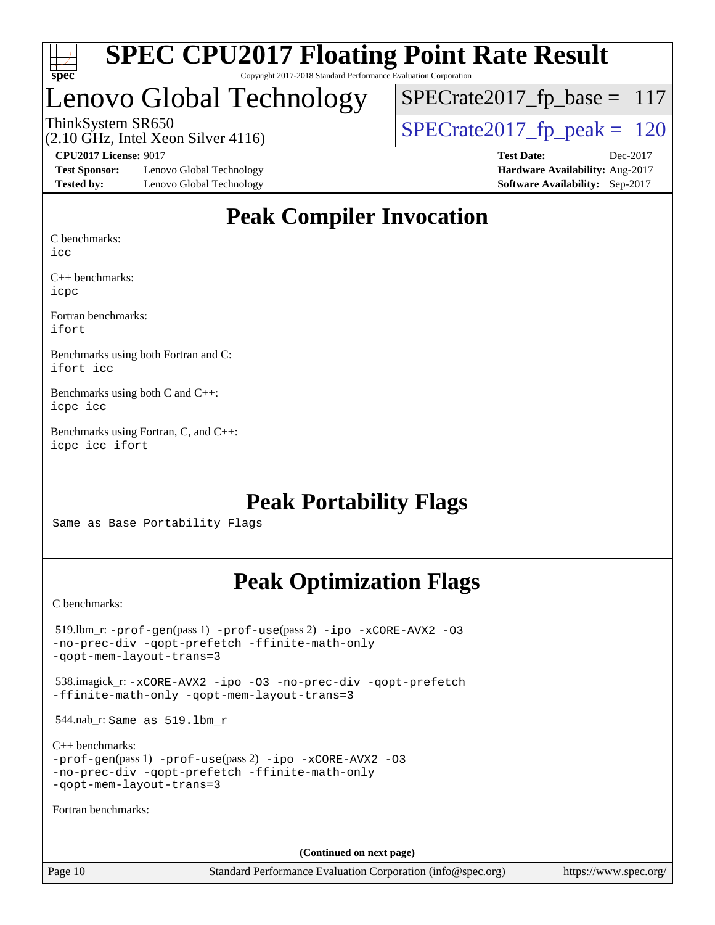

#### **[SPEC CPU2017 Floating Point Rate Result](http://www.spec.org/auto/cpu2017/Docs/result-fields.html#SPECCPU2017FloatingPointRateResult)** Copyright 2017-2018 Standard Performance Evaluation Corporation

## Lenovo Global Technology

ThinkSystem SR650<br>(2.10 GHz, Intel Xeon Silver 4116)  $\begin{array}{|l|l|}\n\hline\n\end{array}$  [SPECrate2017\\_fp\\_peak =](http://www.spec.org/auto/cpu2017/Docs/result-fields.html#SPECrate2017fppeak) 120  $SPECrate2017_fp\_base = 117$ 

(2.10 GHz, Intel Xeon Silver 4116)

**[Test Sponsor:](http://www.spec.org/auto/cpu2017/Docs/result-fields.html#TestSponsor)** Lenovo Global Technology **[Hardware Availability:](http://www.spec.org/auto/cpu2017/Docs/result-fields.html#HardwareAvailability)** Aug-2017 **[Tested by:](http://www.spec.org/auto/cpu2017/Docs/result-fields.html#Testedby)** Lenovo Global Technology **[Software Availability:](http://www.spec.org/auto/cpu2017/Docs/result-fields.html#SoftwareAvailability)** Sep-2017

**[CPU2017 License:](http://www.spec.org/auto/cpu2017/Docs/result-fields.html#CPU2017License)** 9017 **[Test Date:](http://www.spec.org/auto/cpu2017/Docs/result-fields.html#TestDate)** Dec-2017

#### **[Peak Compiler Invocation](http://www.spec.org/auto/cpu2017/Docs/result-fields.html#PeakCompilerInvocation)**

[C benchmarks:](http://www.spec.org/auto/cpu2017/Docs/result-fields.html#Cbenchmarks)

[icc](http://www.spec.org/cpu2017/results/res2018q1/cpu2017-20171225-02097.flags.html#user_CCpeak_intel_icc_18.0_66fc1ee009f7361af1fbd72ca7dcefbb700085f36577c54f309893dd4ec40d12360134090235512931783d35fd58c0460139e722d5067c5574d8eaf2b3e37e92)

[C++ benchmarks](http://www.spec.org/auto/cpu2017/Docs/result-fields.html#CXXbenchmarks): [icpc](http://www.spec.org/cpu2017/results/res2018q1/cpu2017-20171225-02097.flags.html#user_CXXpeak_intel_icpc_18.0_c510b6838c7f56d33e37e94d029a35b4a7bccf4766a728ee175e80a419847e808290a9b78be685c44ab727ea267ec2f070ec5dc83b407c0218cded6866a35d07)

[Fortran benchmarks:](http://www.spec.org/auto/cpu2017/Docs/result-fields.html#Fortranbenchmarks) [ifort](http://www.spec.org/cpu2017/results/res2018q1/cpu2017-20171225-02097.flags.html#user_FCpeak_intel_ifort_18.0_8111460550e3ca792625aed983ce982f94888b8b503583aa7ba2b8303487b4d8a21a13e7191a45c5fd58ff318f48f9492884d4413fa793fd88dd292cad7027ca)

[Benchmarks using both Fortran and C:](http://www.spec.org/auto/cpu2017/Docs/result-fields.html#BenchmarksusingbothFortranandC) [ifort](http://www.spec.org/cpu2017/results/res2018q1/cpu2017-20171225-02097.flags.html#user_CC_FCpeak_intel_ifort_18.0_8111460550e3ca792625aed983ce982f94888b8b503583aa7ba2b8303487b4d8a21a13e7191a45c5fd58ff318f48f9492884d4413fa793fd88dd292cad7027ca) [icc](http://www.spec.org/cpu2017/results/res2018q1/cpu2017-20171225-02097.flags.html#user_CC_FCpeak_intel_icc_18.0_66fc1ee009f7361af1fbd72ca7dcefbb700085f36577c54f309893dd4ec40d12360134090235512931783d35fd58c0460139e722d5067c5574d8eaf2b3e37e92)

[Benchmarks using both C and C++](http://www.spec.org/auto/cpu2017/Docs/result-fields.html#BenchmarksusingbothCandCXX): [icpc](http://www.spec.org/cpu2017/results/res2018q1/cpu2017-20171225-02097.flags.html#user_CC_CXXpeak_intel_icpc_18.0_c510b6838c7f56d33e37e94d029a35b4a7bccf4766a728ee175e80a419847e808290a9b78be685c44ab727ea267ec2f070ec5dc83b407c0218cded6866a35d07) [icc](http://www.spec.org/cpu2017/results/res2018q1/cpu2017-20171225-02097.flags.html#user_CC_CXXpeak_intel_icc_18.0_66fc1ee009f7361af1fbd72ca7dcefbb700085f36577c54f309893dd4ec40d12360134090235512931783d35fd58c0460139e722d5067c5574d8eaf2b3e37e92)

[Benchmarks using Fortran, C, and C++:](http://www.spec.org/auto/cpu2017/Docs/result-fields.html#BenchmarksusingFortranCandCXX) [icpc](http://www.spec.org/cpu2017/results/res2018q1/cpu2017-20171225-02097.flags.html#user_CC_CXX_FCpeak_intel_icpc_18.0_c510b6838c7f56d33e37e94d029a35b4a7bccf4766a728ee175e80a419847e808290a9b78be685c44ab727ea267ec2f070ec5dc83b407c0218cded6866a35d07) [icc](http://www.spec.org/cpu2017/results/res2018q1/cpu2017-20171225-02097.flags.html#user_CC_CXX_FCpeak_intel_icc_18.0_66fc1ee009f7361af1fbd72ca7dcefbb700085f36577c54f309893dd4ec40d12360134090235512931783d35fd58c0460139e722d5067c5574d8eaf2b3e37e92) [ifort](http://www.spec.org/cpu2017/results/res2018q1/cpu2017-20171225-02097.flags.html#user_CC_CXX_FCpeak_intel_ifort_18.0_8111460550e3ca792625aed983ce982f94888b8b503583aa7ba2b8303487b4d8a21a13e7191a45c5fd58ff318f48f9492884d4413fa793fd88dd292cad7027ca)

#### **[Peak Portability Flags](http://www.spec.org/auto/cpu2017/Docs/result-fields.html#PeakPortabilityFlags)**

Same as Base Portability Flags

#### **[Peak Optimization Flags](http://www.spec.org/auto/cpu2017/Docs/result-fields.html#PeakOptimizationFlags)**

[C benchmarks](http://www.spec.org/auto/cpu2017/Docs/result-fields.html#Cbenchmarks):

 519.lbm\_r: [-prof-gen](http://www.spec.org/cpu2017/results/res2018q1/cpu2017-20171225-02097.flags.html#user_peakPASS1_CFLAGSPASS1_LDFLAGS519_lbm_r_prof_gen_5aa4926d6013ddb2a31985c654b3eb18169fc0c6952a63635c234f711e6e63dd76e94ad52365559451ec499a2cdb89e4dc58ba4c67ef54ca681ffbe1461d6b36)(pass 1) [-prof-use](http://www.spec.org/cpu2017/results/res2018q1/cpu2017-20171225-02097.flags.html#user_peakPASS2_CFLAGSPASS2_LDFLAGS519_lbm_r_prof_use_1a21ceae95f36a2b53c25747139a6c16ca95bd9def2a207b4f0849963b97e94f5260e30a0c64f4bb623698870e679ca08317ef8150905d41bd88c6f78df73f19)(pass 2) [-ipo](http://www.spec.org/cpu2017/results/res2018q1/cpu2017-20171225-02097.flags.html#user_peakPASS1_COPTIMIZEPASS2_COPTIMIZE519_lbm_r_f-ipo) [-xCORE-AVX2](http://www.spec.org/cpu2017/results/res2018q1/cpu2017-20171225-02097.flags.html#user_peakPASS2_COPTIMIZE519_lbm_r_f-xCORE-AVX2) [-O3](http://www.spec.org/cpu2017/results/res2018q1/cpu2017-20171225-02097.flags.html#user_peakPASS1_COPTIMIZEPASS2_COPTIMIZE519_lbm_r_f-O3) [-no-prec-div](http://www.spec.org/cpu2017/results/res2018q1/cpu2017-20171225-02097.flags.html#user_peakPASS1_COPTIMIZEPASS2_COPTIMIZE519_lbm_r_f-no-prec-div) [-qopt-prefetch](http://www.spec.org/cpu2017/results/res2018q1/cpu2017-20171225-02097.flags.html#user_peakPASS1_COPTIMIZEPASS2_COPTIMIZE519_lbm_r_f-qopt-prefetch) [-ffinite-math-only](http://www.spec.org/cpu2017/results/res2018q1/cpu2017-20171225-02097.flags.html#user_peakPASS1_COPTIMIZEPASS2_COPTIMIZE519_lbm_r_f_finite_math_only_cb91587bd2077682c4b38af759c288ed7c732db004271a9512da14a4f8007909a5f1427ecbf1a0fb78ff2a814402c6114ac565ca162485bbcae155b5e4258871) [-qopt-mem-layout-trans=3](http://www.spec.org/cpu2017/results/res2018q1/cpu2017-20171225-02097.flags.html#user_peakPASS1_COPTIMIZEPASS2_COPTIMIZE519_lbm_r_f-qopt-mem-layout-trans_de80db37974c74b1f0e20d883f0b675c88c3b01e9d123adea9b28688d64333345fb62bc4a798493513fdb68f60282f9a726aa07f478b2f7113531aecce732043) 538.imagick\_r: [-xCORE-AVX2](http://www.spec.org/cpu2017/results/res2018q1/cpu2017-20171225-02097.flags.html#user_peakCOPTIMIZE538_imagick_r_f-xCORE-AVX2) [-ipo](http://www.spec.org/cpu2017/results/res2018q1/cpu2017-20171225-02097.flags.html#user_peakCOPTIMIZE538_imagick_r_f-ipo) [-O3](http://www.spec.org/cpu2017/results/res2018q1/cpu2017-20171225-02097.flags.html#user_peakCOPTIMIZE538_imagick_r_f-O3) [-no-prec-div](http://www.spec.org/cpu2017/results/res2018q1/cpu2017-20171225-02097.flags.html#user_peakCOPTIMIZE538_imagick_r_f-no-prec-div) [-qopt-prefetch](http://www.spec.org/cpu2017/results/res2018q1/cpu2017-20171225-02097.flags.html#user_peakCOPTIMIZE538_imagick_r_f-qopt-prefetch) [-ffinite-math-only](http://www.spec.org/cpu2017/results/res2018q1/cpu2017-20171225-02097.flags.html#user_peakCOPTIMIZE538_imagick_r_f_finite_math_only_cb91587bd2077682c4b38af759c288ed7c732db004271a9512da14a4f8007909a5f1427ecbf1a0fb78ff2a814402c6114ac565ca162485bbcae155b5e4258871) [-qopt-mem-layout-trans=3](http://www.spec.org/cpu2017/results/res2018q1/cpu2017-20171225-02097.flags.html#user_peakCOPTIMIZE538_imagick_r_f-qopt-mem-layout-trans_de80db37974c74b1f0e20d883f0b675c88c3b01e9d123adea9b28688d64333345fb62bc4a798493513fdb68f60282f9a726aa07f478b2f7113531aecce732043) 544.nab\_r: Same as 519.lbm\_r [C++ benchmarks:](http://www.spec.org/auto/cpu2017/Docs/result-fields.html#CXXbenchmarks) [-prof-gen](http://www.spec.org/cpu2017/results/res2018q1/cpu2017-20171225-02097.flags.html#user_CXXpeak_prof_gen_5aa4926d6013ddb2a31985c654b3eb18169fc0c6952a63635c234f711e6e63dd76e94ad52365559451ec499a2cdb89e4dc58ba4c67ef54ca681ffbe1461d6b36)(pass 1) [-prof-use](http://www.spec.org/cpu2017/results/res2018q1/cpu2017-20171225-02097.flags.html#user_CXXpeak_prof_use_1a21ceae95f36a2b53c25747139a6c16ca95bd9def2a207b4f0849963b97e94f5260e30a0c64f4bb623698870e679ca08317ef8150905d41bd88c6f78df73f19)(pass 2) [-ipo](http://www.spec.org/cpu2017/results/res2018q1/cpu2017-20171225-02097.flags.html#user_CXXpeak_f-ipo) [-xCORE-AVX2](http://www.spec.org/cpu2017/results/res2018q1/cpu2017-20171225-02097.flags.html#user_CXXpeak_f-xCORE-AVX2) [-O3](http://www.spec.org/cpu2017/results/res2018q1/cpu2017-20171225-02097.flags.html#user_CXXpeak_f-O3) [-no-prec-div](http://www.spec.org/cpu2017/results/res2018q1/cpu2017-20171225-02097.flags.html#user_CXXpeak_f-no-prec-div) [-qopt-prefetch](http://www.spec.org/cpu2017/results/res2018q1/cpu2017-20171225-02097.flags.html#user_CXXpeak_f-qopt-prefetch) [-ffinite-math-only](http://www.spec.org/cpu2017/results/res2018q1/cpu2017-20171225-02097.flags.html#user_CXXpeak_f_finite_math_only_cb91587bd2077682c4b38af759c288ed7c732db004271a9512da14a4f8007909a5f1427ecbf1a0fb78ff2a814402c6114ac565ca162485bbcae155b5e4258871) [-qopt-mem-layout-trans=3](http://www.spec.org/cpu2017/results/res2018q1/cpu2017-20171225-02097.flags.html#user_CXXpeak_f-qopt-mem-layout-trans_de80db37974c74b1f0e20d883f0b675c88c3b01e9d123adea9b28688d64333345fb62bc4a798493513fdb68f60282f9a726aa07f478b2f7113531aecce732043) [Fortran benchmarks](http://www.spec.org/auto/cpu2017/Docs/result-fields.html#Fortranbenchmarks): **(Continued on next page)**

Page 10 Standard Performance Evaluation Corporation [\(info@spec.org\)](mailto:info@spec.org) <https://www.spec.org/>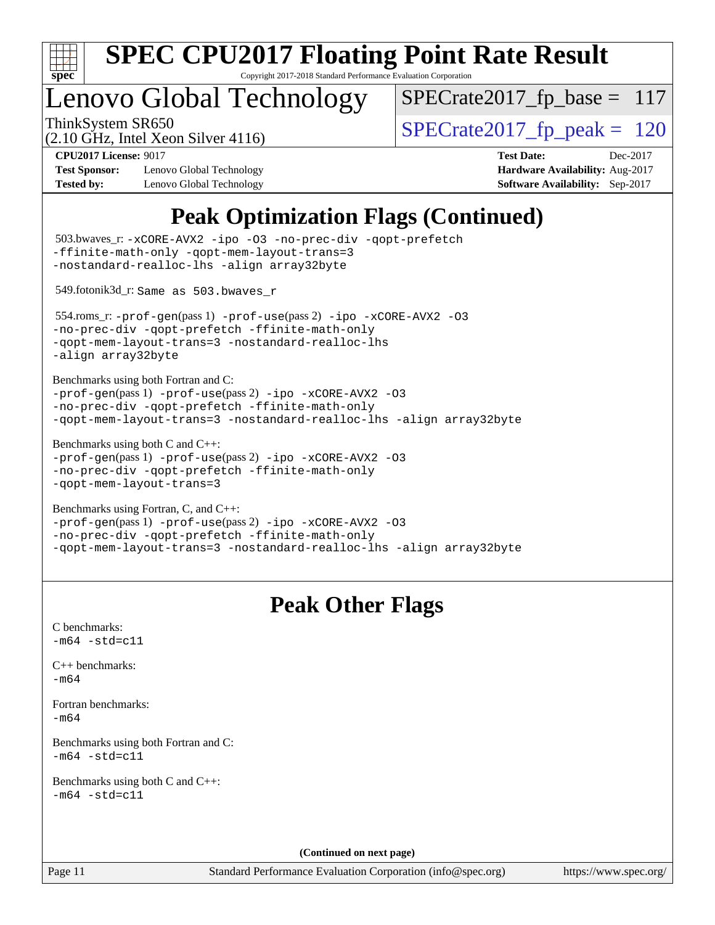

Copyright 2017-2018 Standard Performance Evaluation Corporation

## enovo Global Technology

ThinkSystem SR650<br>  $\langle 2.10 \text{ GHz}$  Intel Yean Silver 4116)  $\langle$  [SPECrate2017\\_fp\\_peak =](http://www.spec.org/auto/cpu2017/Docs/result-fields.html#SPECrate2017fppeak) 120  $SPECrate2017_fp\_base = 117$ 

(2.10 GHz, Intel Xeon Silver 4116)

**[Test Sponsor:](http://www.spec.org/auto/cpu2017/Docs/result-fields.html#TestSponsor)** Lenovo Global Technology **[Hardware Availability:](http://www.spec.org/auto/cpu2017/Docs/result-fields.html#HardwareAvailability)** Aug-2017 **[Tested by:](http://www.spec.org/auto/cpu2017/Docs/result-fields.html#Testedby)** Lenovo Global Technology **[Software Availability:](http://www.spec.org/auto/cpu2017/Docs/result-fields.html#SoftwareAvailability)** Sep-2017

**[CPU2017 License:](http://www.spec.org/auto/cpu2017/Docs/result-fields.html#CPU2017License)** 9017 **[Test Date:](http://www.spec.org/auto/cpu2017/Docs/result-fields.html#TestDate)** Dec-2017

## **[Peak Optimization Flags \(Continued\)](http://www.spec.org/auto/cpu2017/Docs/result-fields.html#PeakOptimizationFlags)**

```
(info@spec.org)https://www.spec.org/
  503.bwaves_r: -xCORE-AVX2 -ipo -O3 -no-prec-div -qopt-prefetch
-ffinite-math-only -qopt-mem-layout-trans=3
-nostandard-realloc-lhs -align array32byte
  549.fotonik3d_r: Same as 503.bwaves_r
  554.roms_r: -prof-gen(pass 1) -prof-use(pass 2) -ipo -xCORE-AVX2 -O3
-no-prec-div -qopt-prefetch -ffinite-math-only
-qopt-mem-layout-trans=3 -nostandard-realloc-lhs
-align array32byte
Benchmarks using both Fortran and C: 
-prof-gen(pass 1) -prof-use(pass 2) -ipo -xCORE-AVX2 -O3
-no-prec-div -qopt-prefetch -ffinite-math-only
-qopt-mem-layout-trans=3 -nostandard-realloc-lhs -align array32byte
Benchmarks using both C and C++: 
-prof-gen(pass 1) -prof-use(pass 2) -ipo -xCORE-AVX2 -O3
-no-prec-div -qopt-prefetch -ffinite-math-only
-qopt-mem-layout-trans=3
Benchmarks using Fortran, C, and C++: 
-prof-gen(pass 1) -prof-use(pass 2) -ipo -xCORE-AVX2 -O3
-no-prec-div -qopt-prefetch -ffinite-math-only
-qopt-mem-layout-trans=3 -nostandard-realloc-lhs -align array32byte
                                 Peak Other Flags
C benchmarks: 
-m64 - std= c11C++ benchmarks: 
-m64Fortran benchmarks: 
-m64
Benchmarks using both Fortran and C: 
-m64 - std= c11Benchmarks using both C and C++: 
-m64 - std= c11(Continued on next page)
```